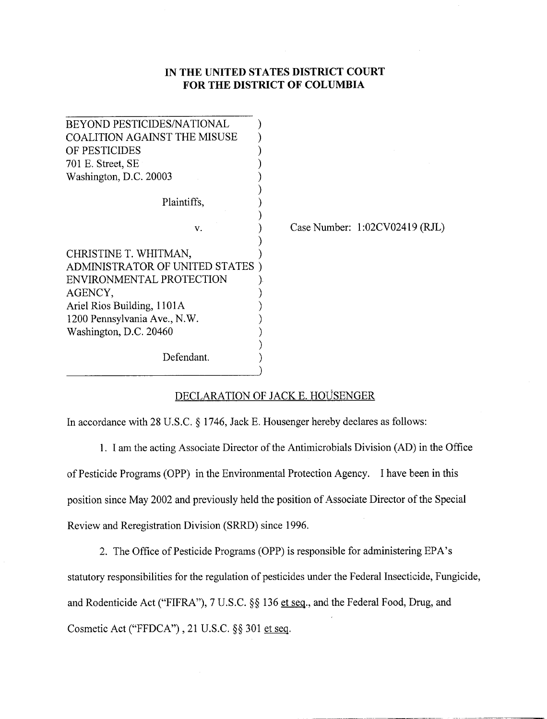## I**N T**H**E** U**NITED S**TA**TES** DI**STR**J**[CT C**OU**RT FOR** T**HE DISTRICT** O**F** COL**U**M**B**I**A**

| <b>BEYOND PESTICIDES/NATIONAL</b>   |                                  |
|-------------------------------------|----------------------------------|
| <b>COALITION AGAINST THE MISUSE</b> |                                  |
| OF PESTICIDES                       |                                  |
| 701 E. Street, SE                   |                                  |
| Washington, D.C. 20003              |                                  |
|                                     |                                  |
| Plaintiffs,                         |                                  |
| v.                                  | Case Number: $1:02CV02419$ (RJL) |
| CHRISTINE T. WHITMAN,               |                                  |
| ADMINISTRATOR OF UNITED STATES      |                                  |
| ENVIRONMENTAL PROTECTION            |                                  |
| AGENCY,                             |                                  |
| Ariel Rios Building, 1101A          |                                  |
| 1200 Pennsylvania Ave., N.W.        |                                  |
| Washington, D.C. 20460              |                                  |
|                                     |                                  |
| Defendant.                          |                                  |
|                                     |                                  |

## DECLARATION OF JACK E. HO*LJSENGER*

In accordance with 28 U.S.C. § 1746, Jack E. Housenger hereby declares as follows:

1. I am the ac**t**ing Associate Director of the Antimicrobials Division (AD) in the Office of **P**es**t**icide Programs (OP**P**) in the Environmental **P**rotection Agency. I have been in this position since May 2002 and previously held the posit**i**on of Associate Director of the Special Review and Reregistration Division (SRRD) since 1996.

2. The Office of Pesticide Programs (OPP) is responsible for administering EPA's statutory responsibilities for the regulation of pesticides under the Federal Insecticide, Fungicide, and Rodenticide Act ("FIFRA"), 7 U.S.C. §§ 136 et seq., and the Federal Food, Drug, and Cosmetic Act ("FFDCA"), 21 U.S.C. §§ 301 et seq.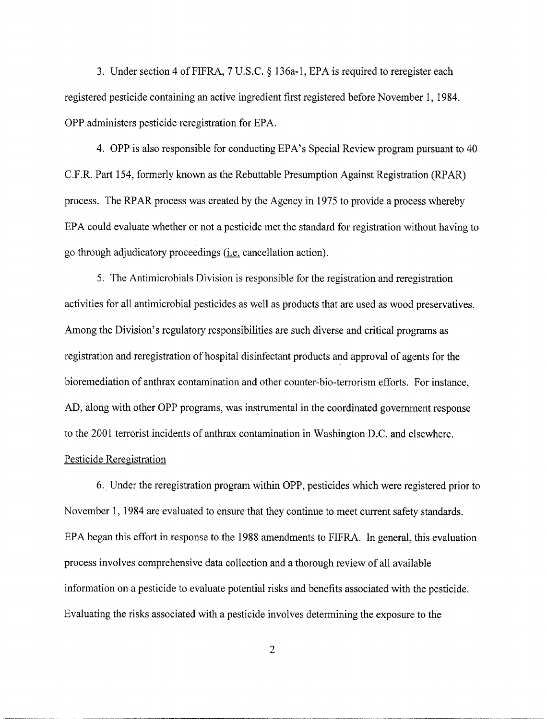3. Under section 4 of FIFRA, 7 U.S.C. § 136a-1, EPA is required to reregister each registered pesticide containing an active ingredient first registered before November 1, 1984. OPP administers pesticide reregistration for EPA.

4. OPP is also responsible for conducting EPA's Special Review program pursuant to 40 C.F.R. Part 154, formerly known as the Rebuttable Presumption Against Registration (RPAR) process. The RPAR process was created by the Agency in 1975 to provide a process whereby EPA could evaluate whether or not a pesticide met the standard for registration without having to go through adjudicatory proceedings (i.e. cancellation action).

5. The Antimicrobials Division is responsible for the registration and reregistration activities for all antimicrobial pesticides as well as products that are used as wood preservatives. Among the Division's regulatory responsibilities are such diverse and critical programs as registration and reregistration of hospital disinfectant products and approval of agents for the bioremediation of anthrax contamination and other counter-bio-terrorism efforts. For instance, AD, along with other OPP programs, was instrumental in the coordinated government response to the 2001 terrorist incidents of anthrax contamination in Washington D.C. and elsewhere. Pesticide Reregistration

6. Under the reregistration program within OPP, pesticides which were registered prior to November 1, 1984 are evaluated to ensure that they continue to meet current safety standards. EPA began this effort in response to the 1988 amendments to FIFRA. In general, this evaluation process involves comprehensive data collection and a thorough review of all available information on a pesticide to evaluate potential risks and benefits associated with the pesticide. Evaluating the risks associated with a pesticide involves determining the exposure to the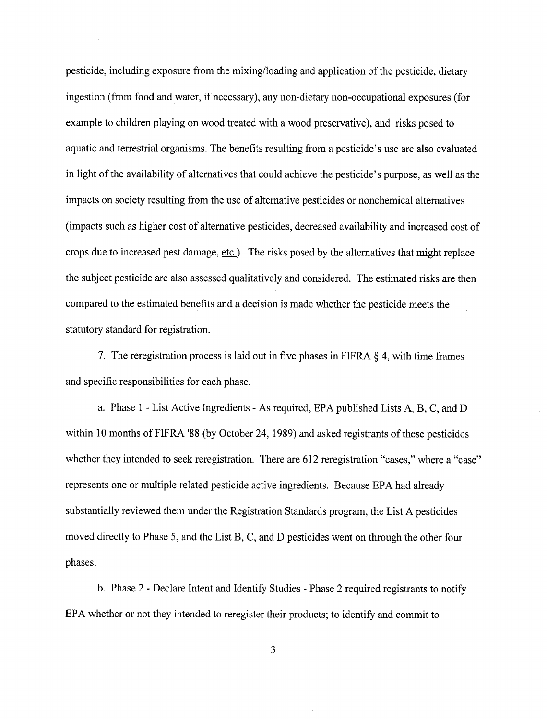pesticide, including exposure from the mixing*/*loading and application of the pesticide, dietary ingestion (from food and water, if necessary), any non-dietary non-occupational exposures (for example to children playing on wood treated with a wood preservative), and risks posed to aquatic and terrestrial organisms. The benefits resulting from a pesticide's use are also evaluated in light of the availability of alternatives that could achieve the pesticide's purpose*.*, as well as the impacts on society resulting from the use of alternative pesticides or nonchemical alternatives (impacts such as higher cost of alternative pesticides, decreased availability and increased cost of crops due to increased pest damage, etc.). The risks posed by the alternatives that might replace the subject pesticide are also assessed qualitatively and considered. The estimated risks are then compared to the estimated benefits and a decision is made whether the pesticide meets the statutory standard for registration.

7. The reregistration process is laid out in five phases in FIFRA § 4, with time frames and specific responsibilities for each phase.

a. Phase 1 - List Active Ingredients - As required, EPA published Lists A, B, C, and D within 10 months of FIFRA '88 (by October 24, 1989) and asked registrants of these pesticides whether they intended to seek reregistration. There are 612 reregistration "cases," where a "case" represents one or multiple related pesticide active ingredients. Because EPA had already substantially reviewed them under the Registration Standards program, the List A pesticides moved directly to Phase 5, and the List B, C, and D pesticides went on through the other four phases.

b. Phase 2 - Declare Intent and Identify Studies - Phase 2 required registrants to notify EPA whether or not they intended to reregister their products; to identify and commit to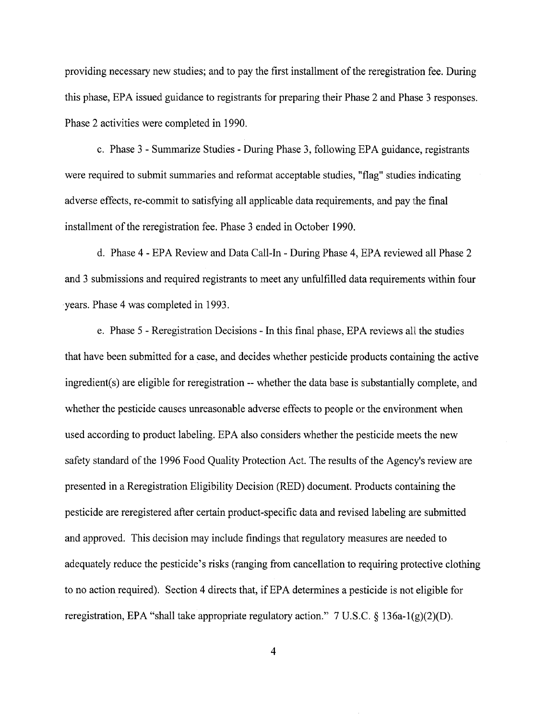providing necessary new studies; and to pay the first installment of the reregistration fee. Dur**i**ng this phase, EPA issued guidance to registrants for preparing their Phase 2 and Phase 3 responses. Phase 2 activities were completed in 1990.

c. Phase 3 - Summarize Studies - During Phase 3, following EPA guidance, registrants were required to submit summaries and reformat acceptable studies, "flag" studies indicating adverse effects, re-commit to satisfying all applicable data requirements, and pay the final installment of the reregistration fee. Phase 3 ended in October 1990.

d. Phase 4 - EPA Review and Data Call-In - During Phase 4, EPA reviewed all Phase 2 and 3 submissions and required registrants to meet any unfulfilled data requirements within four years. Phase 4 was completed in 1993.

e. Phase 5 - Reregistration Decisions - In this final phase, EPA reviews all the studies that have been submitted for a case, and decides whether pesticide products containing the active ingredient(s) are eligible for reregistration -- whether the data base is substantially complete, and whether the pesticide causes unreasonable adverse effects to people or the environment when used according to product labeling. EPA also considers whether the pesticide meets the new safety standard of the 1996 Food Quality Protection Act. The results of the Agency's review are presented in a Reregistration Eligibility Decision (RED) document. Products containing the pesticide are reregistered after certain pr**o**duct-specific data and revised labeling \_*c*e submitted and approved. This decision may include findings that regulatory measures are needed to adequately reduce the pesticide's risks (ranging from cancellation to requiring protective clothing to no action required). Section 4 directs that, if EPA determines a pesticide is not eligible for reregistration, EPA "shall take appropriate regulatory action."  $7 \text{ U.S.C.} \& 136a-1(g)(2)(D)$ .

 $\overline{\mathbf{4}}$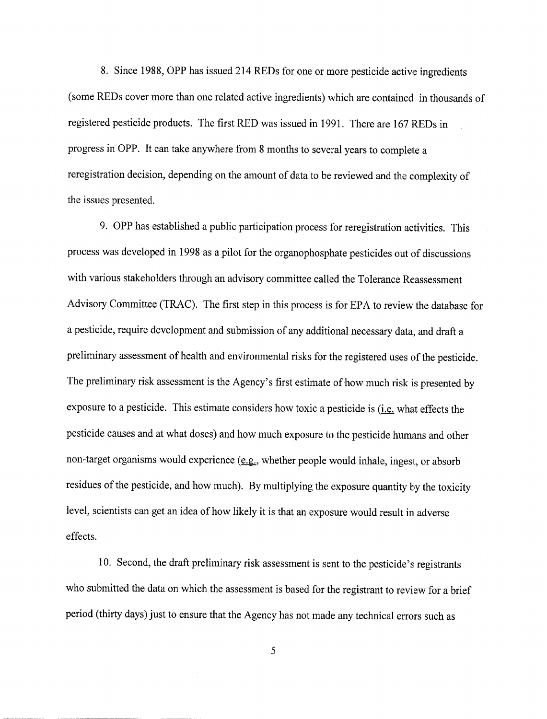8. Since 1988**,** OPP has issued 214 REDs for one or more pesticide active ingredients (some REDs cover more than one related active ingredients) which are contained in thousands of registered pesticide products. The first RED was issued in 1991. There are 167 REDs in progress in OPP. It can take anywhere from 8 months to several years to complete a reregistration decision, depending on the amount of data to be reviewed and the complexity of the issues presented.

9. OPP has established a public participation process for reregistration activities. This process was developed in 1998 as a pilot for the organophospha**t**e pesticides out of discussions with various stakeholders through an advisory committee called the Tolerance Reassessment Advisory Committee (TRAC). The first step in this process is for EPA to review the database for a pesticide, require development and submission of any additional necessary data, and draft a preliminary assessment of health and environmental risks for the registered uses of the pesticide. The preliminary risk assessment is the Agency's first estimate of how much risk is presented by exposure to a pesticide. This estimate considers how toxic a pesticide is (i.e. what effects the pesticide causes and at what doses) and how much exposure to the pesticide humans and other non-target organisms would experience (e.g.*,* whether people would inhale, ingest, or absorb residues of the pesticide, and how much). By multiplying the exposure quantity by the toxicity level, scientists can get an idea of how likely it is that an exposure would result in adverse effects.

10. Second, the draft preliminary risk assessment is sent to the pesticide's registrants who submitted the data on which the assessment is based for the registrant **t**o review for a brief period (thirty days) just to ensure that the Agency has not made any technical errors such as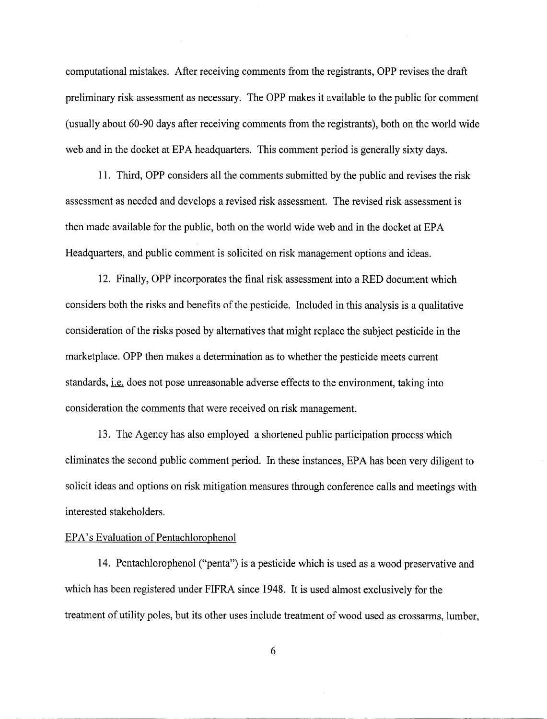c**o**mputational mistakes. After receiving comments fr**o**m the registrants, OPP revises the draft preliminary risk assessment as necessary. The OPP makes it available to the public for comment (usually about 60-90 days after receiving comments from the registrants), both on the world wide web and in the docket at EPA headquarters. This comment period is generally sixty days.

11. Third, OPP considers all the comments submitted, by the public and revises the risk assessment as needed and develops a revised risk assessment. The revised risk assessment is then made available for the public, both on the world wide web and in the docket at EPA Headquarters, and public comment is solicited on risk management options and ideas.

12. Finally, OPP incorporates the final risk assessment into a RED document which considers both the risks and benefits of the pesticide. Included in this analysis is a qualitative consideration of the risks posed by alternatives that might replace the subject pesticide in the marketplace. OPP then makes a determination as to whether the pesticide meets current standards, *i.e.* does not pose unreasonable adverse effects to the environment, taking into consideration the comments that were received on risk management.

13. The Agency has also employed a shortened public participation processwhich eliminates the second public comment period. In these instances, EPA has been very diligent to solicit ideas and options on risk mitigation measures through conference calls and meetings with interested stakeholders.

## EPA's Evaluation of Pentachlorophenol

14. Pentachlorophenol ("penta") is a pesticide which is used as a wood preservative and which has been registered under FIFRA since 1948. It is used almost exclusively for the treatment of utility poles, but its other uses include treatment of wood used as crossarms, lumber,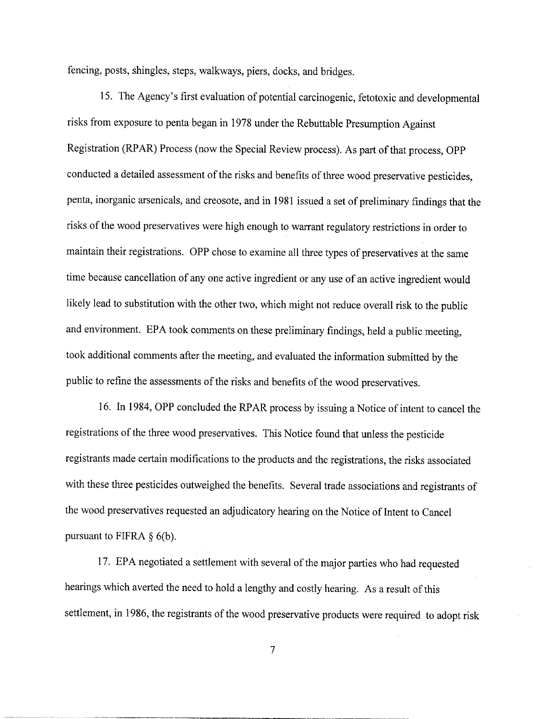fencing, posts, shingles, steps, walkways, piers, docks, and bridges.

15. The Agency's first evaluation of potential carcinogenic, fetotoxic maddevelopmental risks from exposure to penta began in 1978 under the Rebuttable Presumption Against Registration (RPAR) Process (now the Special Review process). As part of that process, OPP conducted a detailed assessment of the risks and benefits of three wood preservative pesticides, penta, inorganic arsenicals, and creosote, and in 1981 issued a set of preliminary findings that the risks of the wood preservatives were high enough to warrant regulatory restrictions in order to maintain their registrations. OPP chose to examine all three types of preservatives at the same time because cancellation of any one active ingredient or any use of an active ingredient would likely lead to substitution with the other two, which might not reduce overall risk to the public and environment. EPA took comments on these preliminary findings, held a public meeting, took additional comments after the meeting, and evaluated the information submitted by the public to refine the assessments of the risks and benefits of the wood preservatives.

16. In 1984, OPP concluded the RPAR process by issuing a Notice of intent to cancel the registrations of the three wood preservatives. This Notice found that unless the pesticide registrants made certain modifications to the products and the registrations, the risks associated with these three pesticides outweighed the benefits. Several trade associations and registrants of the wood preservatives requested an adjudicatory hearing on the Notice of Intent to Cancel pursuant to FIFRA  $\S$  6(b).

17. EPA negotiated a settlement with several of the major parties who had requested hearings which averted the need to hold a lengthy and costly hearing. As a result of this settlement, in 1986, the registrants of the wood preservative products were required to adopt risk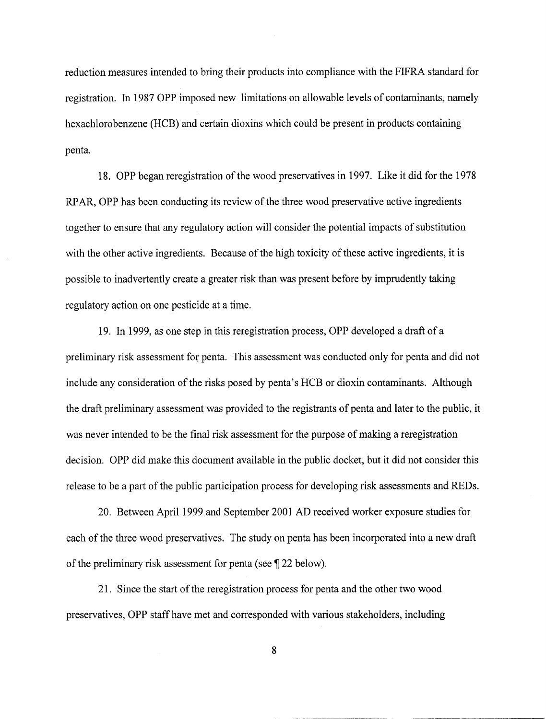reduction measures intended to bring their products into compliance with the FIFRA standard for registration. In 1987 OPP imposed new limitations on allowable levels of contaminants, namely hexachlorobenzene (HCB) and certain dioxins which could be present in products containing penta.

18. OPP began reregistration of the wood preservatives in 1997. Like it did for the 1978 RPAR, OPP has been conducting its review of the three wood preservative active ingredients together to ensure that any regulatory action will consider the potential impacts of substitution with the other active ingredients. Because of the high toxicity of these active ingredients, it is possible to inadvertently create a greater risk than was present before by imprudently taking regulatory action on one pesticide at a time.

19. In 1999, as one step in this reregistration process*,* OPP developed a draft of a preliminary risk assessment for penta. This assessment was conducted only for penta and did not include any consideration of the risks posed by penta's HCB **o**r dioxin contaminants. Although the draft preliminary assessment was provided to the registrants of penta and later to the public, it was never intended to be the final risk assessment for the purpose of making a reregistration decision. OPP did make this document available in the public docket, but it did not consider this release to be a part of the public participation process for developing risk assessments and REDs.

20. Between April 1999 and September 2001 AD received worker exposure studies for each of the three wood preservatives. The study on penta has been incorporated into a new draft of the preliminary risk assessment for penta (see ¶ 22 below).

21. Since the start of the reregistration process for penta and the other two wood preservatives, OPP staff have met and corresponded with various stakeholders, including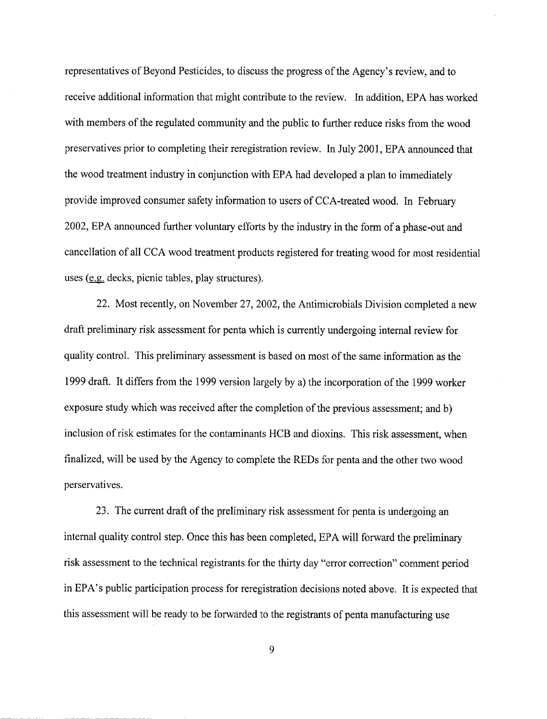representatives of Beyond Pesticides, to discuss the progress of the Agency's review, and to receive additional information that might contribute to the review. In addition, EPA has worked with members of the regulated community and the public to further reduce risks from the wood preservatives prior to completing their reregistration review. In July 2001, EPA announced that the wood treatment industry in conjunction with EPA had developed a plan to immediately provide improved consumer safety information to users of CCA-treated wood. In February 2002, EPA announced further voluntary efforts by the industry in the form of a phase-out and cancellation of all CCA wood treatment products registered for treating wood for most residential uses (e.g. decks, picnic tables, play structures).

22. Most recently, on November 27, 2002, the Antimicrobials Division completed a new dra**ft** preliminary risk assessment for penta which is currently undergoing internal review for quality control. This preliminary assessment is based on most of the same information as the 1999 draft. It differs from the 1999 version largely by a) the incorporation of the 1999 worker exposure study which was received after the completion of the previous assessment; and b) inclusion of risk estimates for the contaminants HCB and dioxins. This risk assessment, when finalized, will be used by the Agency to complete the REDs for penta and the other two wood perservatives.

23. The current draft of the preliminary risk assessment for penta is undergoing an internal quality control step. Once this has been completed, EPA will forward the preliminary risk assessment to the technical registrants for the thirty day "error correction" comment period in EPA's public participation process for reregistration decisions noted above. It is expected that this assessment will be ready to be forwarded to the registrants of penta manufacturing use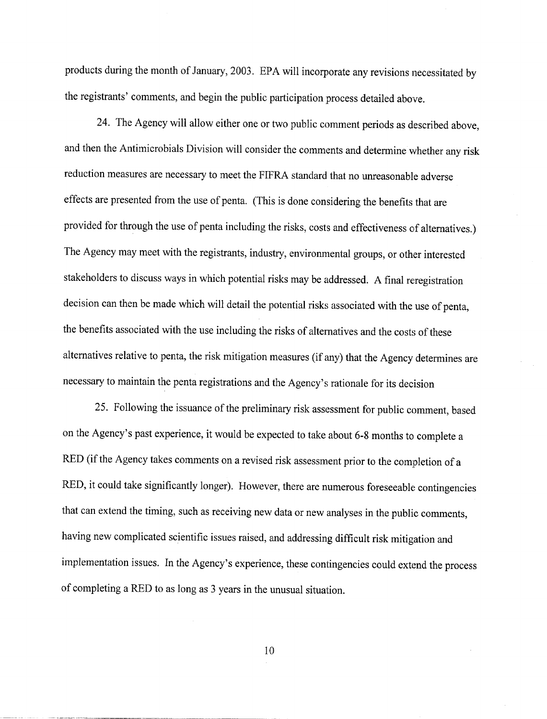products during the month of January, 2003. EPA will incorporate any revisions necessitated by the registrants' comments, and begin the public participation process detailed above.

24. The Agency will allow either one or two public comment periods as described above, and then the Antimicrobials Division will consider the comments and determine whether any risk reduction measures are necessary to meet the FIFRA standard that no unreasonable adverse effects are presented from the use of penta. (This is done considering the benefits that are provided for through the use of penta including the risks, costs and effectiveness of alternatives.) The Agency may meet with the registrants, industry, environmental groups, or other interested stakeholders to discuss ways in which potential risks may be addressed. A final reregistration decision can then be made which will detail the potential risks associated with the use of penta, the benefits associated with the use including the risks of alternatives and the costs of these alternatives relative to penta, the risk mitigation measures (if any) that the Agency determines are necessary to maintain the penta registrations and the Agency's rationale for its decision

25. Following the issuance of the preliminary risk assessment for public comment, based on the Agency's past experience, it would be expected to take about 6-8 months to complete a RED (if the Agency takes comments on a revised risk assessment prior to the completion of a RED, it could take significantly longer). However, there are numerous foreseeable contingencies that can extend the timing, such as receiving new data or new analyses in the public comments, having new complicated scientific issues raised, and addressing difficult risk mitigation and implementation issues. In the Agency's experience, these contingencies could extend the process of completing a RED t**o** as l**o**ng as 3 years in the unusual situation.